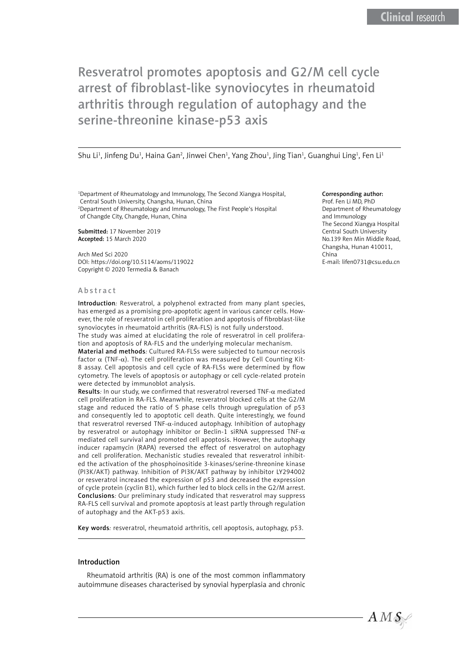# Resveratrol promotes apoptosis and G2/M cell cycle arrest of fibroblast-like synoviocytes in rheumatoid arthritis through regulation of autophagy and the serine-threonine kinase-p53 axis

Shu Li<sup>1</sup>, Jinfeng Du<sup>1</sup>, Haina Gan<sup>2</sup>, Jinwei Chen<sup>1</sup>, Yang Zhou<sup>1</sup>, Jing Tian<sup>1</sup>, Guanghui Ling<sup>1</sup>, Fen Li<sup>1</sup>

1 Department of Rheumatology and Immunology, The Second Xiangya Hospital, Central South University, Changsha, Hunan, China 2 Department of Rheumatology and Immunology, The First People's Hospital

of Changde City, Changde, Hunan, China

Submitted: 17 November 2019 Accepted: 15 March 2020

Arch Med Sci 2020 DOI: https://doi.org/10.5114/aoms/119022 Copyright © 2020 Termedia & Banach

#### Abstract

Introduction*:* Resveratrol, a polyphenol extracted from many plant species, has emerged as a promising pro-apoptotic agent in various cancer cells. However, the role of resveratrol in cell proliferation and apoptosis of fibroblast-like synoviocytes in rheumatoid arthritis (RA-FLS) is not fully understood. The study was aimed at elucidating the role of resveratrol in cell prolifera-

tion and apoptosis of RA-FLS and the underlying molecular mechanism.

Material and methods*:* Cultured RA-FLSs were subjected to tumour necrosis factor  $\alpha$  (TNF- $\alpha$ ). The cell proliferation was measured by Cell Counting Kit-8 assay. Cell apoptosis and cell cycle of RA-FLSs were determined by flow cytometry. The levels of apoptosis or autophagy or cell cycle-related protein were detected by immunoblot analysis.

Results*:* In our study, we confirmed that resveratrol reversed TNF-α mediated cell proliferation in RA-FLS. Meanwhile, resveratrol blocked cells at the G2/M stage and reduced the ratio of S phase cells through upregulation of p53 and consequently led to apoptotic cell death. Quite interestingly, we found that resveratrol reversed TNF- $\alpha$ -induced autophagy. Inhibition of autophagy by resveratrol or autophagy inhibitor or Beclin-1 siRNA suppressed TNF- $\alpha$ mediated cell survival and promoted cell apoptosis. However, the autophagy inducer rapamycin (RAPA) reversed the effect of resveratrol on autophagy and cell proliferation. Mechanistic studies revealed that resveratrol inhibited the activation of the phosphoinositide 3-kinases/serine-threonine kinase (PI3K/AKT) pathway. Inhibition of PI3K/AKT pathway by inhibitor LY294002 or resveratrol increased the expression of p53 and decreased the expression of cycle protein (cyclin B1), which further led to block cells in the G2/M arrest. Conclusions*:* Our preliminary study indicated that resveratrol may suppress RA-FLS cell survival and promote apoptosis at least partly through regulation of autophagy and the AKT-p53 axis.

Key words*:* resveratrol, rheumatoid arthritis, cell apoptosis, autophagy, p53.

### Introduction

Rheumatoid arthritis (RA) is one of the most common inflammatory autoimmune diseases characterised by synovial hyperplasia and chronic

#### Corresponding author:

Prof. Fen Li MD, PhD Department of Rheumatology and Immunology The Second Xiangya Hospital Central South University No.139 Ren Min Middle Road, Changsha, Hunan 410011, China E-mail: [lifen0731@csu.edu.cn](mailto:lifen0731@csu.edu.cn)

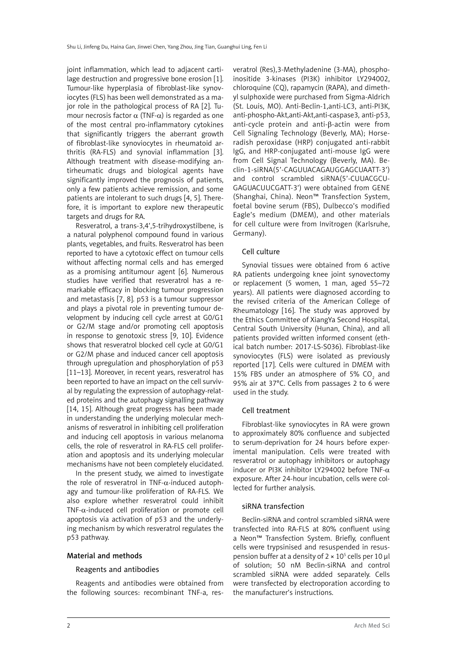joint inflammation, which lead to adjacent cartilage destruction and progressive bone erosion [1]. Tumour-like hyperplasia of fibroblast-like synoviocytes (FLS) has been well demonstrated as a major role in the pathological process of RA [2]. Tumour necrosis factor  $\alpha$  (TNF- $\alpha$ ) is regarded as one of the most central pro-inflammatory cytokines that significantly triggers the aberrant growth of fibroblast-like synoviocytes in rheumatoid arthritis (RA-FLS) and synovial inflammation [3]. Although treatment with disease-modifying antirheumatic drugs and biological agents have significantly improved the prognosis of patients, only a few patients achieve remission, and some patients are intolerant to such drugs [4, 5]. Therefore, it is important to explore new therapeutic targets and drugs for RA.

Resveratrol, a trans-3,4',5-trihydroxystilbene, is a natural polyphenol compound found in various plants, vegetables, and fruits. Resveratrol has been reported to have a cytotoxic effect on tumour cells without affecting normal cells and has emerged as a promising antitumour agent [6]. Numerous studies have verified that resveratrol has a remarkable efficacy in blocking tumour progression and metastasis [7, 8]. p53 is a tumour suppressor and plays a pivotal role in preventing tumour development by inducing cell cycle arrest at G0/G1 or G2/M stage and/or promoting cell apoptosis in response to genotoxic stress [9, 10]. Evidence shows that resveratrol blocked cell cycle at G0/G1 or G2/M phase and induced cancer cell apoptosis through upregulation and phosphorylation of p53 [11–13]. Moreover, in recent years, resveratrol has been reported to have an impact on the cell survival by regulating the expression of autophagy-related proteins and the autophagy signalling pathway [14, 15]. Although great progress has been made in understanding the underlying molecular mechanisms of resveratrol in inhibiting cell proliferation and inducing cell apoptosis in various melanoma cells, the role of resveratrol in RA-FLS cell proliferation and apoptosis and its underlying molecular mechanisms have not been completely elucidated.

In the present study, we aimed to investigate the role of resveratrol in TNF- $\alpha$ -induced autophagy and tumour-like proliferation of RA-FLS. We also explore whether resveratrol could inhibit TNF- $\alpha$ -induced cell proliferation or promote cell apoptosis via activation of p53 and the underlying mechanism by which resveratrol regulates the p53 pathway.

### Material and methods

### Reagents and antibodies

Reagents and antibodies were obtained from the following sources: recombinant TNF-a, resveratrol (Res),3-Methyladenine (3-MA), phosphoinositide 3-kinases (PI3K) inhibitor LY294002, chloroquine (CQ), rapamycin (RAPA), and dimethyl sulphoxide were purchased from Sigma-Aldrich (St. Louis, MO). Anti-Beclin-1,anti-LC3, anti-PI3K, anti-phospho-Akt,anti-Akt,anti-caspase3, anti-p53, anti-cycle protein and anti-β-actin were from Cell Signaling Technology (Beverly, MA); Horseradish peroxidase (HRP) conjugated anti-rabbit IgG, and HRP-conjugated anti-mouse IgG were from Cell Signal Technology (Beverly, MA). Beclin-1-siRNA(5'-CAGUUACAGAUGGAGCUAATT-3') and control scrambled siRNA(5'-CUUACGCU-GAGUACUUCGATT-3') were obtained from GENE (Shanghai, China). Neon™ Transfection System, foetal bovine serum (FBS), Dulbecco's modified Eagle's medium (DMEM), and other materials for cell culture were from Invitrogen (Karlsruhe, Germany).

### Cell culture

Synovial tissues were obtained from 6 active RA patients undergoing knee joint synovectomy or replacement (5 women, 1 man, aged 55–72 years). All patients were diagnosed according to the revised criteria of the American College of Rheumatology [16]. The study was approved by the Ethics Committee of XiangYa Second Hospital, Central South University (Hunan, China), and all patients provided written informed consent (ethical batch number: 2017-LS-S036). Fibroblast-like synoviocytes (FLS) were isolated as previously reported [17]. Cells were cultured in DMEM with 15% FBS under an atmosphere of 5%  $CO<sub>2</sub>$  and 95% air at 37°C. Cells from passages 2 to 6 were used in the study.

### Cell treatment

Fibroblast-like synoviocytes in RA were grown to approximately 80% confluence and subjected to serum-deprivation for 24 hours before experimental manipulation. Cells were treated with resveratrol or autophagy inhibitors or autophagy inducer or PI3K inhibitor LY294002 before TNF- $\alpha$ exposure. After 24-hour incubation, cells were collected for further analysis.

### siRNA transfection

Beclin-siRNA and control scrambled siRNA were transfected into RA-FLS at 80% confluent using a Neon™ Transfection System. Briefly, confluent cells were trypsinised and resuspended in resuspension buffer at a density of  $2 \times 10^5$  cells per 10  $\mu$ l of solution; 50 nM Beclin-siRNA and control scrambled siRNA were added separately. Cells were transfected by electroporation according to the manufacturer's instructions.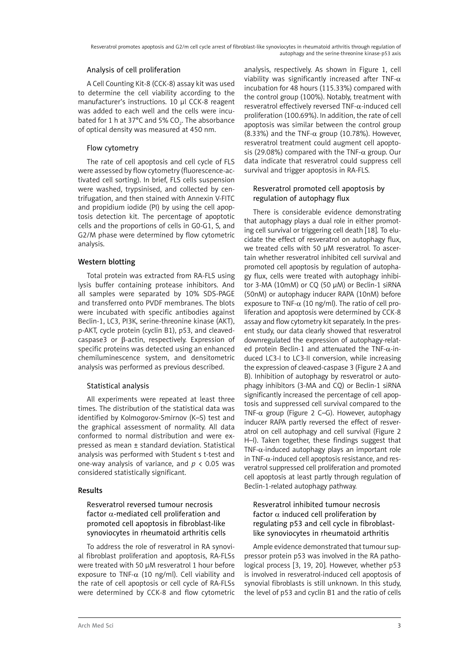### Analysis of cell proliferation

A Cell Counting Kit-8 (CCK-8) assay kit was used to determine the cell viability according to the manufacturer's instructions. 10 μl CCK-8 reagent was added to each well and the cells were incubated for 1 h at 37°C and 5% CO $_{\textrm{\tiny{2}}}$ . The absorbance of optical density was measured at 450 nm.

## Flow cytometry

The rate of cell apoptosis and cell cycle of FLS were assessed by flow cytometry (fluorescence-activated cell sorting). In brief, FLS cells suspension were washed, trypsinised, and collected by centrifugation, and then stained with Annexin V-FITC and propidium iodide (PI) by using the cell apoptosis detection kit. The percentage of apoptotic cells and the proportions of cells in G0-G1, S, and G2/M phase were determined by flow cytometric analysis.

### Western blotting

Total protein was extracted from RA-FLS using lysis buffer containing protease inhibitors. And all samples were separated by 10% SDS-PAGE and transferred onto PVDF membranes. The blots were incubated with specific antibodies against Beclin-1, LC3, PI3K, serine-threonine kinase (AKT), p-AKT, cycle protein (cyclin B1), p53, and cleavedcaspase3 or β-actin, respectively. Expression of specific proteins was detected using an enhanced chemiluminescence system, and densitometric analysis was performed as previous described.

# Statistical analysis

All experiments were repeated at least three times. The distribution of the statistical data was identified by Kolmogorov-Smirnov (K–S) test and the graphical assessment of normality. All data conformed to normal distribution and were expressed as mean ± standard deviation. Statistical analysis was performed with Student s t-test and one-way analysis of variance, and *p* < 0.05 was considered statistically significant.

# Results

Resveratrol reversed tumour necrosis factor  $\alpha$ -mediated cell proliferation and promoted cell apoptosis in fibroblast-like synoviocytes in rheumatoid arthritis cells

To address the role of resveratrol in RA synovial fibroblast proliferation and apoptosis, RA-FLSs were treated with 50 μM resveratrol 1 hour before exposure to TNF- $\alpha$  (10 ng/ml). Cell viability and the rate of cell apoptosis or cell cycle of RA-FLSs were determined by CCK-8 and flow cytometric

analysis, respectively. As shown in Figure 1, cell viability was significantly increased after TNF- $\alpha$ incubation for 48 hours (115.33%) compared with the control group (100%). Notably, treatment with resveratrol effectively reversed TNF- $\alpha$ -induced cell proliferation (100.69%). In addition, the rate of cell apoptosis was similar between the control group (8.33%) and the TNF- $\alpha$  group (10.78%). However, resveratrol treatment could augment cell apoptosis (29.08%) compared with the TNF- $\alpha$  group. Our data indicate that resveratrol could suppress cell survival and trigger apoptosis in RA-FLS.

### Resveratrol promoted cell apoptosis by regulation of autophagy flux

There is considerable evidence demonstrating that autophagy plays a dual role in either promoting cell survival or triggering cell death [18]. To elucidate the effect of resveratrol on autophagy flux, we treated cells with 50 μM resveratrol. To ascertain whether resveratrol inhibited cell survival and promoted cell apoptosis by regulation of autophagy flux, cells were treated with autophagy inhibitor 3-MA (10mM) or CQ (50 μM) or Beclin-1 siRNA (50nM) or autophagy inducer RAPA (10nM) before exposure to TNF- $\alpha$  (10 ng/ml). The ratio of cell proliferation and apoptosis were determined by CCK-8 assay and flow cytometry kit separately. In the present study, our data clearly showed that resveratrol downregulated the expression of autophagy-related protein Beclin-1 and attenuated the TNF-α-induced LC3-I to LC3-II conversion, while increasing the expression of cleaved-caspase 3 (Figure 2 A and B). Inhibition of autophagy by resveratrol or autophagy inhibitors (3-MA and CQ) or Beclin-1 siRNA significantly increased the percentage of cell apoptosis and suppressed cell survival compared to the TNF- $\alpha$  group (Figure 2 C–G). However, autophagy inducer RAPA partly reversed the effect of resveratrol on cell autophagy and cell survival (Figure 2 H–I). Taken together, these findings suggest that TNF- $\alpha$ -induced autophagy plays an important role in TNF- $\alpha$ -induced cell apoptosis resistance, and resveratrol suppressed cell proliferation and promoted cell apoptosis at least partly through regulation of Beclin-1-related autophagy pathway.

### Resveratrol inhibited tumour necrosis factor  $\alpha$  induced cell proliferation by regulating p53 and cell cycle in fibroblastlike synoviocytes in rheumatoid arthritis

Ample evidence demonstrated that tumour suppressor protein p53 was involved in the RA pathological process [3, 19, 20]. However, whether p53 is involved in resveratrol-induced cell apoptosis of synovial fibroblasts is still unknown. In this study, the level of p53 and cyclin B1 and the ratio of cells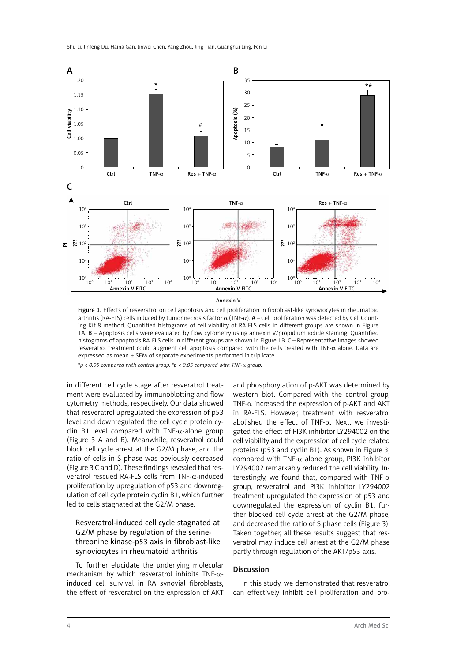

Annevin V

Figure 1. Effects of resveratrol on cell apoptosis and cell proliferation in fibroblast-like synoviocytes in rheumatoid arthritis (RA-FLS) cells induced by tumor necrosis factor  $\alpha$  (TNF- $\alpha$ ).  $A$  – Cell proliferation was detected by Cell Counting Kit-8 method. Quantified histograms of cell viability of RA-FLS cells in different groups are shown in Figure 1A. B – Apoptosis cells were evaluated by flow cytometry using annexin V/propidium iodide staining. Quantified histograms of apoptosis RA-FLS cells in different groups are shown in Figure 1B. C – Representative images showed resveratrol treatment could augment celi apoptosis compared with the cells treated with TNF-a alone. Data are expressed as mean ± SEM of separate experiments performed in triplicate

\**p < 0.05 compared with control group. #p < 0.05 compared with TNF-*α *group.*

in different cell cycle stage after resveratrol treatment were evaluated by immunoblotting and flow cytometry methods, respectively. Our data showed that resveratrol upregulated the expression of p53 level and downregulated the cell cycle protein cyclin B1 level compared with TNF- $\alpha$ -alone group (Figure 3 A and B). Meanwhile, resveratrol could block cell cycle arrest at the G2/M phase, and the ratio of cells in S phase was obviously decreased (Figure 3 C and D). These findings revealed that resveratrol rescued RA-FLS cells from TNF-α-induced proliferation by upregulation of p53 and downregulation of cell cycle protein cyclin B1, which further led to cells stagnated at the G2/M phase.

### Resveratrol-induced cell cycle stagnated at G2/M phase by regulation of the serinethreonine kinase-p53 axis in fibroblast-like synoviocytes in rheumatoid arthritis

To further elucidate the underlying molecular mechanism by which resveratrol inhibits TNF- $\alpha$ induced cell survival in RA synovial fibroblasts, the effect of resveratrol on the expression of AKT

and phosphorylation of p-AKT was determined by western blot. Compared with the control group, TNF- $\alpha$  increased the expression of p-AKT and AKT in RA-FLS. However, treatment with resveratrol abolished the effect of  $TNF-\alpha$ . Next, we investigated the effect of PI3K inhibitor LY294002 on the cell viability and the expression of cell cycle related proteins (p53 and cyclin B1). As shown in Figure 3, compared with TNF- $\alpha$  alone group, PI3K inhibitor LY294002 remarkably reduced the cell viability. Interestingly, we found that, compared with TNF- $\alpha$ group, resveratrol and PI3K inhibitor LY294002 treatment upregulated the expression of p53 and downregulated the expression of cyclin B1, further blocked cell cycle arrest at the G2/M phase, and decreased the ratio of S phase cells (Figure 3). Taken together, all these results suggest that resveratrol may induce cell arrest at the G2/M phase partly through regulation of the AKT/p53 axis.

### Discussion

In this study, we demonstrated that resveratrol can effectively inhibit cell proliferation and pro-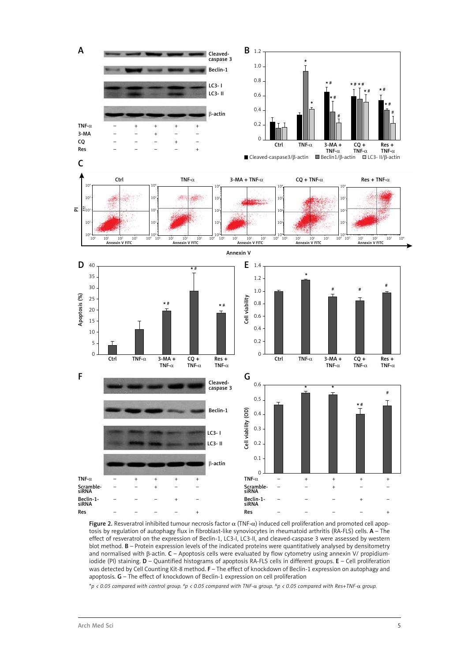

Figure 2. Resveratrol inhibited tumour necrosis factor  $α$  (TNF- $α$ ) induced cell proliferation and promoted cell apoptosis by regulation of autophagy flux in fibroblast-like synoviocytes in rheumatoid arthritis (RA-FLS) cells. A - The effect of resveratrol on the expression of Beclin-1, LC3-I, LC3-II, and cleaved-caspase 3 were assessed by western blot method. B – Protein expression levels of the indicated proteins were quantitatively analysed by densitometry and normalised with β-actin. C – Apoptosis cells were evaluated by flow cytometry using annexin V/ propidiumiodide (PI) staining. D – Quantified histograms of apoptosis RA-FLS cells in different groups. E – Cell proliferation was detected by Cell Counting Kit-8 method. F – The effect of knockdown of Beclin-1 expression on autophagy and apoptosis. G – The effect of knockdown of Beclin-1 expression on cell proliferation

\**p < 0.05 compared with control group. #p < 0.05 compared with TNF-*α *group. &p < 0.05 compared with Res+TNF-*α *group.*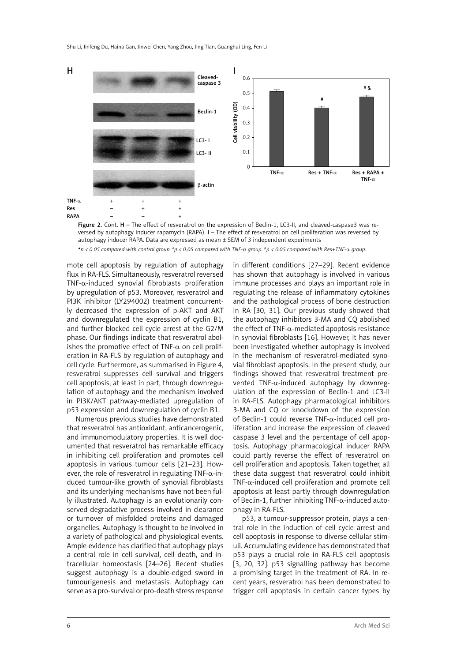

Figure 2. Cont. H - The effect of resveratrol on the expression of Beclin-1, LC3-II, and cleaved-caspase3 was reversed by autophagy inducer rapamycin (RAPA). I – The effect of resveratrol on cell proliferation was reversed by autophagy inducer RAPA. Data are expressed as mean ± SEM of 3 independent experiments

*p < 0.05 compared with control group. #p < 0.05 compared with TNF-*α *group. &p < 0.05 compared with Res+TNF-*α *group.*

mote cell apoptosis by regulation of autophagy flux in RA-FLS. Simultaneously, resveratrol reversed TNF-α-induced synovial fibroblasts proliferation by upregulation of p53. Moreover, resveratrol and PI3K inhibitor (LY294002) treatment concurrently decreased the expression of p-AKT and AKT and downregulated the expression of cyclin B1, and further blocked cell cycle arrest at the G2/M phase. Our findings indicate that resveratrol abolishes the promotive effect of TNF- $\alpha$  on cell proliferation in RA-FLS by regulation of autophagy and cell cycle. Furthermore, as summarised in Figure 4, resveratrol suppresses cell survival and triggers cell apoptosis, at least in part, through downregulation of autophagy and the mechanism involved in PI3K/AKT pathway-mediated upregulation of p53 expression and downregulation of cyclin B1.

Numerous previous studies have demonstrated that resveratrol has antioxidant, anticancerogenic, and immunomodulatory properties. It is well documented that resveratrol has remarkable efficacy in inhibiting cell proliferation and promotes cell apoptosis in various tumour cells [21–23]. However, the role of resveratrol in regulating TNF- $\alpha$ -induced tumour-like growth of synovial fibroblasts and its underlying mechanisms have not been fully illustrated. Autophagy is an evolutionarily conserved degradative process involved in clearance or turnover of misfolded proteins and damaged organelles. Autophagy is thought to be involved in a variety of pathological and physiological events. Ample evidence has clarified that autophagy plays a central role in cell survival, cell death, and intracellular homeostasis [24–26]. Recent studies suggest autophagy is a double-edged sword in tumourigenesis and metastasis. Autophagy can serve as a pro-survival or pro-death stress response in different conditions [27–29]. Recent evidence has shown that autophagy is involved in various immune processes and plays an important role in regulating the release of inflammatory cytokines and the pathological process of bone destruction in RA [30, 31]. Our previous study showed that the autophagy inhibitors 3-MA and CQ abolished the effect of TNF- $\alpha$ -mediated apoptosis resistance in synovial fibroblasts [16]. However, it has never been investigated whether autophagy is involved in the mechanism of resveratrol-mediated synovial fibroblast apoptosis. In the present study, our findings showed that resveratrol treatment prevented TNF-α-induced autophagy by downregulation of the expression of Beclin-1 and LC3-II in RA-FLS. Autophagy pharmacological inhibitors 3-MA and CQ or knockdown of the expression of Beclin-1 could reverse TNF-α-induced cell proliferation and increase the expression of cleaved caspase 3 level and the percentage of cell apoptosis. Autophagy pharmacological inducer RAPA could partly reverse the effect of resveratrol on cell proliferation and apoptosis. Taken together, all these data suggest that resveratrol could inhibit TNF- $\alpha$ -induced cell proliferation and promote cell apoptosis at least partly through downregulation of Beclin-1, further inhibiting  $TNF-\alpha$ -induced autophagy in RA-FLS.

p53, a tumour-suppressor protein, plays a central role in the induction of cell cycle arrest and cell apoptosis in response to diverse cellular stimuli. Accumulating evidence has demonstrated that p53 plays a crucial role in RA-FLS cell apoptosis [3, 20, 32]. p53 signalling pathway has become a promising target in the treatment of RA. In recent years, resveratrol has been demonstrated to trigger cell apoptosis in certain cancer types by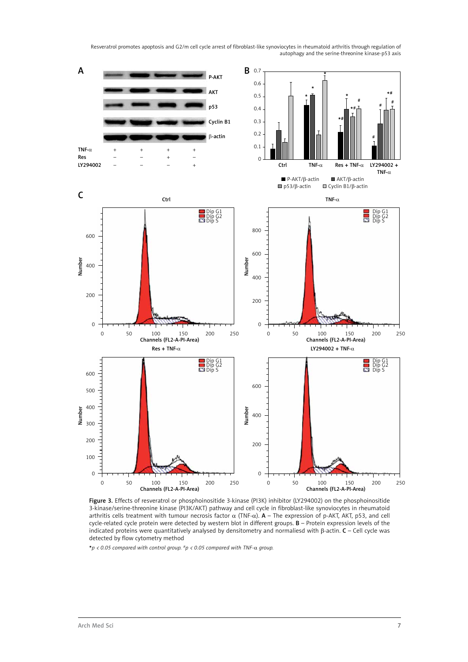Resveratrol promotes apoptosis and G2/m cell cycle arrest of fibroblast-like synoviocytes in rheumatoid arthritis through regulation of autophagy and the serine-threonine kinase-p53 axis



Figure 3. Effects of resveratrol or phosphoinositide 3-kinase (PI3K) inhibitor (LY294002) on the phosphoinositide 3-kinase/serine-threonine kinase (PI3K/AKT) pathway and cell cycle in fibroblast-like synoviocytes in rheumatoid arthritis cells treatment with tumour necrosis factor  $α$  (TNF- $α$ ).  $A$  – The expression of p-AKT, AKT, p53, and cell cycle-related cycle protein were detected by western blot in different groups. B – Protein expression levels of the indicated proteins were quantitatively analysed by densitometry and normaliesd with β-actin. C – Cell cycle was detected by flow cytometry method

*p < 0.05 compared with control group. #p < 0.05 compared with TNF-*α *group.*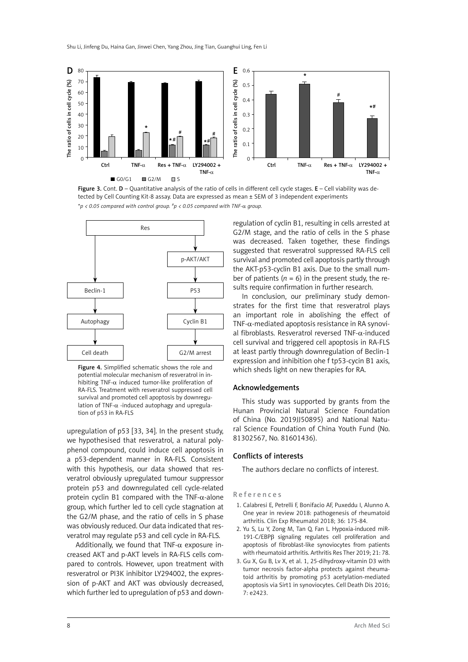

Figure 3. Cont.  $D -$  Quantitative analysis of the ratio of cells in different cell cycle stages.  $E -$  Cell viability was detected by Cell Counting Kit-8 assay. Data are expressed as mean ± SEM of 3 independent experiments \**p < 0.05 compared with control group. #p < 0.05 compared with TNF-*α *group.*



Figure 4. Simplified schematic shows the role and potential molecular mechanism of resveratrol in inhibiting TNF- $\alpha$  induced tumor-like proliferation of RA-FLS. Treatment with resveratrol suppressed cell survival and promoted cell apoptosis by downregulation of TNF- $\alpha$  -induced autophagy and upregulation of p53 in RA-FLS

upregulation of p53 [33, 34]. In the present study, we hypothesised that resveratrol, a natural polyphenol compound, could induce cell apoptosis in a p53-dependent manner in RA-FLS. Consistent with this hypothesis, our data showed that resveratrol obviously upregulated tumour suppressor protein p53 and downregulated cell cycle-related protein cyclin B1 compared with the TNF- $\alpha$ -alone group, which further led to cell cycle stagnation at the G2/M phase, and the ratio of cells in S phase was obviously reduced. Our data indicated that resveratrol may regulate p53 and cell cycle in RA-FLS.

Additionally, we found that TNF- $\alpha$  exposure increased AKT and p-AKT levels in RA-FLS cells compared to controls. However, upon treatment with resveratrol or PI3K inhibitor LY294002, the expression of p-AKT and AKT was obviously decreased, which further led to upregulation of p53 and down-

regulation of cyclin B1, resulting in cells arrested at G2/M stage, and the ratio of cells in the S phase was decreased. Taken together, these findings suggested that resveratrol suppressed RA-FLS cell survival and promoted cell apoptosis partly through the AKT-p53-cyclin B1 axis. Due to the small number of patients ( $n = 6$ ) in the present study, the results require confirmation in further research.

In conclusion, our preliminary study demonstrates for the first time that resveratrol plays an important role in abolishing the effect of TNF- $\alpha$ -mediated apoptosis resistance in RA synovial fibroblasts. Resveratrol reversed TNF-α-induced cell survival and triggered cell apoptosis in RA-FLS at least partly through downregulation of Beclin-1 expression and inhibition ohe f tp53-cycin B1 axis, which sheds light on new therapies for RA.

#### Acknowledgements

This study was supported by grants from the Hunan Provincial Natural Science Foundation of China (No. 2019JJ50895) and National Natural Science Foundation of China Youth Fund (No. 81302567, No. 81601436).

#### Conflicts of interests

The authors declare no conflicts of interest.

### References

- 1. [Calabresi E,](https://www.ncbi.nlm.nih.gov/pubmed/?term=Calabresi E%5BAuthor%5D&cauthor=true&cauthor_uid=29716677) [Petrelli F](https://www.ncbi.nlm.nih.gov/pubmed/?term=Petrelli F%5BAuthor%5D&cauthor=true&cauthor_uid=29716677), [Bonifacio AF,](https://www.ncbi.nlm.nih.gov/pubmed/?term=Bonifacio AF%5BAuthor%5D&cauthor=true&cauthor_uid=29716677) [Puxeddu I](https://www.ncbi.nlm.nih.gov/pubmed/?term=Puxeddu I%5BAuthor%5D&cauthor=true&cauthor_uid=29716677), [Alunno A](https://www.ncbi.nlm.nih.gov/pubmed/?term=Alunno A%5BAuthor%5D&cauthor=true&cauthor_uid=29716677). One year in review 2018: pathogenesis of rheumatoid arthritis. [Clin Exp Rheumatol](https://www.ncbi.nlm.nih.gov/pubmed/29716677) 2018; 36: 175-84.
- 2. Yu S, Lu Y, Zong M, Tan Q, Fan L. [Hypoxia-induced miR-](https://www.ncbi.nlm.nih.gov/pubmed/30894209)191-C/EBPβ [signaling regulates cell proliferation and](https://www.ncbi.nlm.nih.gov/pubmed/30894209) [apoptosis of fibroblast-like synoviocytes from patients](https://www.ncbi.nlm.nih.gov/pubmed/30894209) [with rheumatoid arthritis.](https://www.ncbi.nlm.nih.gov/pubmed/30894209) Arthritis Res Ther 2019; 21: 78.
- 3. Gu X, Gu B, Lv X, et al. [1, 25-dihydroxy-vitamin D3 with](https://www.ncbi.nlm.nih.gov/pubmed/27763638) [tumor necrosis factor-alpha protects against rheuma](https://www.ncbi.nlm.nih.gov/pubmed/27763638)[toid arthritis by promoting p53 acetylation-mediated](https://www.ncbi.nlm.nih.gov/pubmed/27763638) [apoptosis via Sirt1 in synoviocytes.](https://www.ncbi.nlm.nih.gov/pubmed/27763638) Cell Death Dis 2016; 7: e2423.